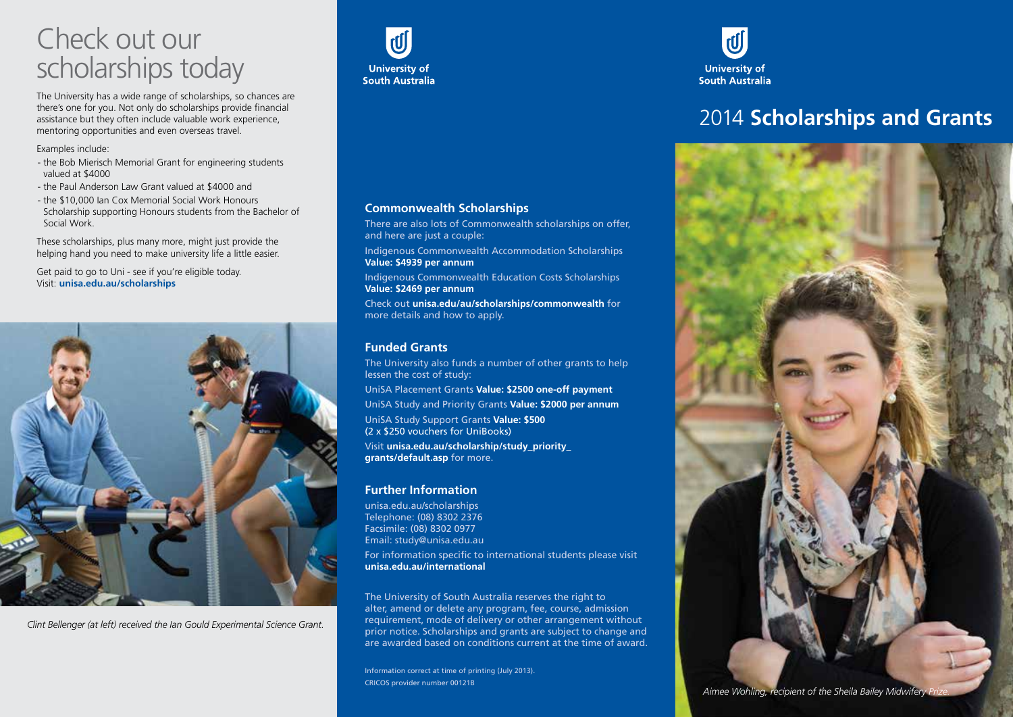# Check out our scholarships today

The University has a wide range of scholarships, so chances are there's one for you. Not only do scholarships provide financial assistance but they often include valuable work experience, mentoring opportunities and even overseas travel.

Examples include:

- the Bob Mierisch Memorial Grant for engineering students valued at \$4000
- the Paul Anderson Law Grant valued at \$4000 and
- the \$10,000 Ian Cox Memorial Social Work Honours Scholarship supporting Honours students from the Bachelor of Social Work.

These scholarships, plus many more, might just provide the helping hand you need to make university life a little easier.

Get paid to go to Uni - see if you're eligible today. Visit: **unisa.edu.au/scholarships**



*Clint Bellenger (at left) received the Ian Gould Experimental Science Grant.* 





# 2014 **Scholarships and Grants**



Aimee Wohling, recipient of the Sheila Bailey Midwifery Prize.

#### **Commonwealth Scholarships**

There are also lots of Commonwealth scholarships on offer, and here are just a couple:

Indigenous Commonwealth Accommodation Scholarships **Value: \$4939 per annum**

Indigenous Commonwealth Education Costs Scholarships **Value: \$2469 per annum**

Check out **unisa.edu/au/scholarships/commonwealth** for more details and how to apply.

#### **Funded Grants**

The University also funds a number of other grants to help lessen the cost of study:

UniSA Placement Grants **Value: \$2500 one-off payment** UniSA Study and Priority Grants **Value: \$2000 per annum**

UniSA Study Support Grants **Value: \$500** (2 x \$250 vouchers for UniBooks)

Visit **unisa.edu.au/scholarship/study\_priority\_ grants/default.asp** for more.

#### **Further Information**

unisa.edu.au/scholarships Telephone: (08) 8302 2376 Facsimile: (08) 8302 0977 Email: study@unisa.edu.au

For information specific to international students please visit **unisa.edu.au/international**

The University of South Australia reserves the right to alter, amend or delete any program, fee, course, admission requirement, mode of delivery or other arrangement without prior notice. Scholarships and grants are subject to change and are awarded based on conditions current at the time of award.

Information correct at time of printing (July 2013). CRICOS provider number 00121B